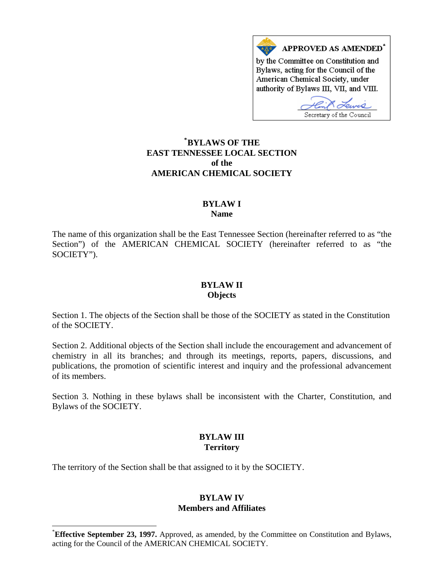

## **\* [BYLAWS OF THE](#page-0-0)  EAST TENNESSEE LOCAL SECTION of the AMERICAN CHEMICAL SOCIETY**

### **BYLAW I Name**

The name of this organization shall be the East Tennessee Section (hereinafter referred to as "the Section") of the AMERICAN CHEMICAL SOCIETY (hereinafter referred to as "the SOCIETY").

#### **BYLAW II Objects**

Section 1. The objects of the Section shall be those of the SOCIETY as stated in the Constitution of the SOCIETY.

Section 2. Additional objects of the Section shall include the encouragement and advancement of chemistry in all its branches; and through its meetings, reports, papers, discussions, and publications, the promotion of scientific interest and inquiry and the professional advancement of its members.

Section 3. Nothing in these bylaws shall be inconsistent with the Charter, Constitution, and Bylaws of the SOCIETY.

# **BYLAW III Territory**

The territory of the Section shall be that assigned to it by the SOCIETY.

 $\overline{a}$ 

#### **BYLAW IV Members and Affiliates**

<span id="page-0-0"></span><sup>\*</sup> **Effective September 23, 1997.** Approved, as amended, by the Committee on Constitution and Bylaws, acting for the Council of the AMERICAN CHEMICAL SOCIETY.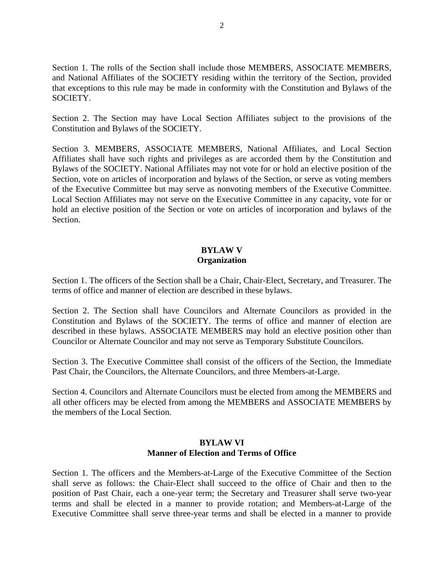Section 1. The rolls of the Section shall include those MEMBERS, ASSOCIATE MEMBERS, and National Affiliates of the SOCIETY residing within the territory of the Section, provided that exceptions to this rule may be made in conformity with the Constitution and Bylaws of the SOCIETY.

Section 2. The Section may have Local Section Affiliates subject to the provisions of the Constitution and Bylaws of the SOCIETY.

Section 3. MEMBERS, ASSOCIATE MEMBERS, National Affiliates, and Local Section Affiliates shall have such rights and privileges as are accorded them by the Constitution and Bylaws of the SOCIETY. National Affiliates may not vote for or hold an elective position of the Section, vote on articles of incorporation and bylaws of the Section, or serve as voting members of the Executive Committee but may serve as nonvoting members of the Executive Committee. Local Section Affiliates may not serve on the Executive Committee in any capacity, vote for or hold an elective position of the Section or vote on articles of incorporation and bylaws of the Section.

### **BYLAW V Organization**

Section 1. The officers of the Section shall be a Chair, Chair-Elect, Secretary, and Treasurer. The terms of office and manner of election are described in these bylaws.

Section 2. The Section shall have Councilors and Alternate Councilors as provided in the Constitution and Bylaws of the SOCIETY. The terms of office and manner of election are described in these bylaws. ASSOCIATE MEMBERS may hold an elective position other than Councilor or Alternate Councilor and may not serve as Temporary Substitute Councilors.

Section 3. The Executive Committee shall consist of the officers of the Section, the Immediate Past Chair, the Councilors, the Alternate Councilors, and three Members-at-Large.

Section 4. Councilors and Alternate Councilors must be elected from among the MEMBERS and all other officers may be elected from among the MEMBERS and ASSOCIATE MEMBERS by the members of the Local Section.

## **BYLAW VI Manner of Election and Terms of Office**

Section 1. The officers and the Members-at-Large of the Executive Committee of the Section shall serve as follows: the Chair-Elect shall succeed to the office of Chair and then to the position of Past Chair, each a one-year term; the Secretary and Treasurer shall serve two-year terms and shall be elected in a manner to provide rotation; and Members-at-Large of the Executive Committee shall serve three-year terms and shall be elected in a manner to provide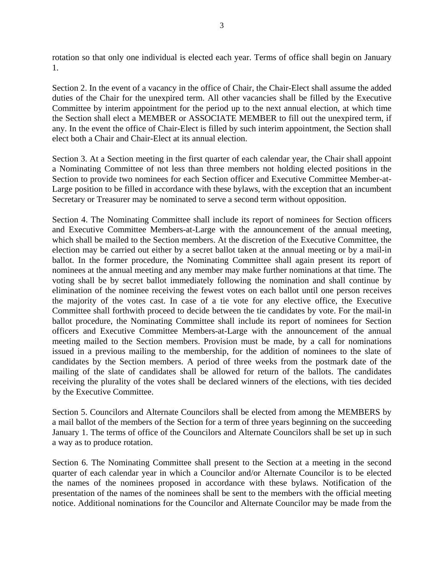rotation so that only one individual is elected each year. Terms of office shall begin on January 1.

Section 2. In the event of a vacancy in the office of Chair, the Chair-Elect shall assume the added duties of the Chair for the unexpired term. All other vacancies shall be filled by the Executive Committee by interim appointment for the period up to the next annual election, at which time the Section shall elect a MEMBER or ASSOCIATE MEMBER to fill out the unexpired term, if any. In the event the office of Chair-Elect is filled by such interim appointment, the Section shall elect both a Chair and Chair-Elect at its annual election.

Section 3. At a Section meeting in the first quarter of each calendar year, the Chair shall appoint a Nominating Committee of not less than three members not holding elected positions in the Section to provide two nominees for each Section officer and Executive Committee Member-at-Large position to be filled in accordance with these bylaws, with the exception that an incumbent Secretary or Treasurer may be nominated to serve a second term without opposition.

Section 4. The Nominating Committee shall include its report of nominees for Section officers and Executive Committee Members-at-Large with the announcement of the annual meeting, which shall be mailed to the Section members. At the discretion of the Executive Committee, the election may be carried out either by a secret ballot taken at the annual meeting or by a mail-in ballot. In the former procedure, the Nominating Committee shall again present its report of nominees at the annual meeting and any member may make further nominations at that time. The voting shall be by secret ballot immediately following the nomination and shall continue by elimination of the nominee receiving the fewest votes on each ballot until one person receives the majority of the votes cast. In case of a tie vote for any elective office, the Executive Committee shall forthwith proceed to decide between the tie candidates by vote. For the mail-in ballot procedure, the Nominating Committee shall include its report of nominees for Section officers and Executive Committee Members-at-Large with the announcement of the annual meeting mailed to the Section members. Provision must be made, by a call for nominations issued in a previous mailing to the membership, for the addition of nominees to the slate of candidates by the Section members. A period of three weeks from the postmark date of the mailing of the slate of candidates shall be allowed for return of the ballots. The candidates receiving the plurality of the votes shall be declared winners of the elections, with ties decided by the Executive Committee.

Section 5. Councilors and Alternate Councilors shall be elected from among the MEMBERS by a mail ballot of the members of the Section for a term of three years beginning on the succeeding January 1. The terms of office of the Councilors and Alternate Councilors shall be set up in such a way as to produce rotation.

Section 6. The Nominating Committee shall present to the Section at a meeting in the second quarter of each calendar year in which a Councilor and/or Alternate Councilor is to be elected the names of the nominees proposed in accordance with these bylaws. Notification of the presentation of the names of the nominees shall be sent to the members with the official meeting notice. Additional nominations for the Councilor and Alternate Councilor may be made from the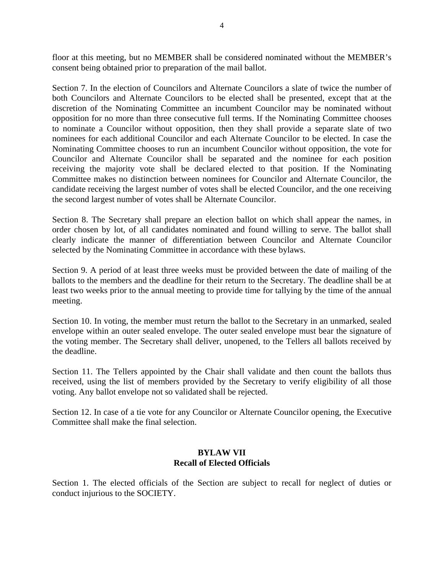floor at this meeting, but no MEMBER shall be considered nominated without the MEMBER's consent being obtained prior to preparation of the mail ballot.

Section 7. In the election of Councilors and Alternate Councilors a slate of twice the number of both Councilors and Alternate Councilors to be elected shall be presented, except that at the discretion of the Nominating Committee an incumbent Councilor may be nominated without opposition for no more than three consecutive full terms. If the Nominating Committee chooses to nominate a Councilor without opposition, then they shall provide a separate slate of two nominees for each additional Councilor and each Alternate Councilor to be elected. In case the Nominating Committee chooses to run an incumbent Councilor without opposition, the vote for Councilor and Alternate Councilor shall be separated and the nominee for each position receiving the majority vote shall be declared elected to that position. If the Nominating Committee makes no distinction between nominees for Councilor and Alternate Councilor, the candidate receiving the largest number of votes shall be elected Councilor, and the one receiving the second largest number of votes shall be Alternate Councilor.

Section 8. The Secretary shall prepare an election ballot on which shall appear the names, in order chosen by lot, of all candidates nominated and found willing to serve. The ballot shall clearly indicate the manner of differentiation between Councilor and Alternate Councilor selected by the Nominating Committee in accordance with these bylaws.

Section 9. A period of at least three weeks must be provided between the date of mailing of the ballots to the members and the deadline for their return to the Secretary. The deadline shall be at least two weeks prior to the annual meeting to provide time for tallying by the time of the annual meeting.

Section 10. In voting, the member must return the ballot to the Secretary in an unmarked, sealed envelope within an outer sealed envelope. The outer sealed envelope must bear the signature of the voting member. The Secretary shall deliver, unopened, to the Tellers all ballots received by the deadline.

Section 11. The Tellers appointed by the Chair shall validate and then count the ballots thus received, using the list of members provided by the Secretary to verify eligibility of all those voting. Any ballot envelope not so validated shall be rejected.

Section 12. In case of a tie vote for any Councilor or Alternate Councilor opening, the Executive Committee shall make the final selection.

### **BYLAW VII Recall of Elected Officials**

Section 1. The elected officials of the Section are subject to recall for neglect of duties or conduct injurious to the SOCIETY.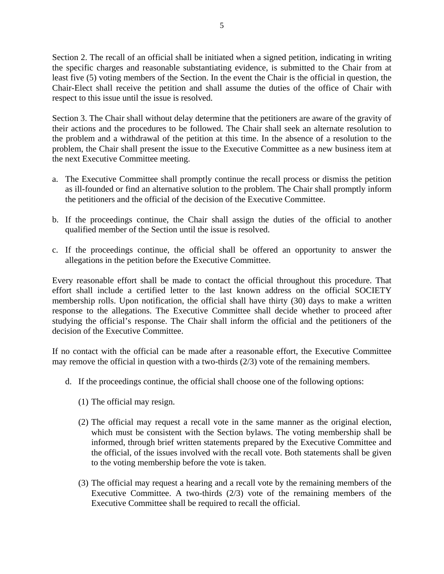Section 2. The recall of an official shall be initiated when a signed petition, indicating in writing the specific charges and reasonable substantiating evidence, is submitted to the Chair from at least five (5) voting members of the Section. In the event the Chair is the official in question, the Chair-Elect shall receive the petition and shall assume the duties of the office of Chair with respect to this issue until the issue is resolved.

Section 3. The Chair shall without delay determine that the petitioners are aware of the gravity of their actions and the procedures to be followed. The Chair shall seek an alternate resolution to the problem and a withdrawal of the petition at this time. In the absence of a resolution to the problem, the Chair shall present the issue to the Executive Committee as a new business item at the next Executive Committee meeting.

- a. The Executive Committee shall promptly continue the recall process or dismiss the petition as ill-founded or find an alternative solution to the problem. The Chair shall promptly inform the petitioners and the official of the decision of the Executive Committee.
- b. If the proceedings continue, the Chair shall assign the duties of the official to another qualified member of the Section until the issue is resolved.
- c. If the proceedings continue, the official shall be offered an opportunity to answer the allegations in the petition before the Executive Committee.

Every reasonable effort shall be made to contact the official throughout this procedure. That effort shall include a certified letter to the last known address on the official SOCIETY membership rolls. Upon notification, the official shall have thirty (30) days to make a written response to the allegations. The Executive Committee shall decide whether to proceed after studying the official's response. The Chair shall inform the official and the petitioners of the decision of the Executive Committee.

If no contact with the official can be made after a reasonable effort, the Executive Committee may remove the official in question with a two-thirds (2/3) vote of the remaining members.

- d. If the proceedings continue, the official shall choose one of the following options:
	- (1) The official may resign.
	- (2) The official may request a recall vote in the same manner as the original election, which must be consistent with the Section bylaws. The voting membership shall be informed, through brief written statements prepared by the Executive Committee and the official, of the issues involved with the recall vote. Both statements shall be given to the voting membership before the vote is taken.
	- (3) The official may request a hearing and a recall vote by the remaining members of the Executive Committee. A two-thirds (2/3) vote of the remaining members of the Executive Committee shall be required to recall the official.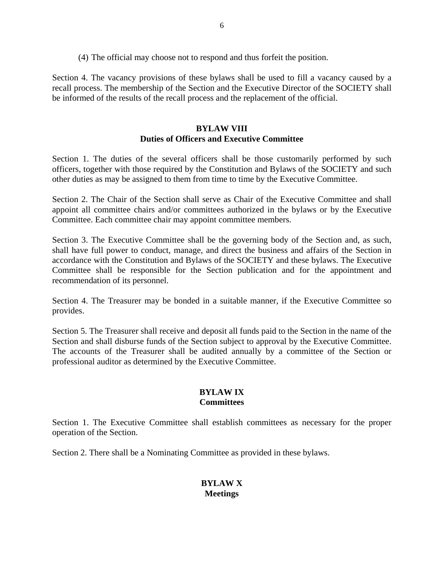(4) The official may choose not to respond and thus forfeit the position.

Section 4. The vacancy provisions of these bylaws shall be used to fill a vacancy caused by a recall process. The membership of the Section and the Executive Director of the SOCIETY shall be informed of the results of the recall process and the replacement of the official.

## **BYLAW VIII Duties of Officers and Executive Committee**

Section 1. The duties of the several officers shall be those customarily performed by such officers, together with those required by the Constitution and Bylaws of the SOCIETY and such other duties as may be assigned to them from time to time by the Executive Committee.

Section 2. The Chair of the Section shall serve as Chair of the Executive Committee and shall appoint all committee chairs and/or committees authorized in the bylaws or by the Executive Committee. Each committee chair may appoint committee members.

Section 3. The Executive Committee shall be the governing body of the Section and, as such, shall have full power to conduct, manage, and direct the business and affairs of the Section in accordance with the Constitution and Bylaws of the SOCIETY and these bylaws. The Executive Committee shall be responsible for the Section publication and for the appointment and recommendation of its personnel.

Section 4. The Treasurer may be bonded in a suitable manner, if the Executive Committee so provides.

Section 5. The Treasurer shall receive and deposit all funds paid to the Section in the name of the Section and shall disburse funds of the Section subject to approval by the Executive Committee. The accounts of the Treasurer shall be audited annually by a committee of the Section or professional auditor as determined by the Executive Committee.

## **BYLAW IX Committees**

Section 1. The Executive Committee shall establish committees as necessary for the proper operation of the Section.

Section 2. There shall be a Nominating Committee as provided in these bylaws.

# **BYLAW X Meetings**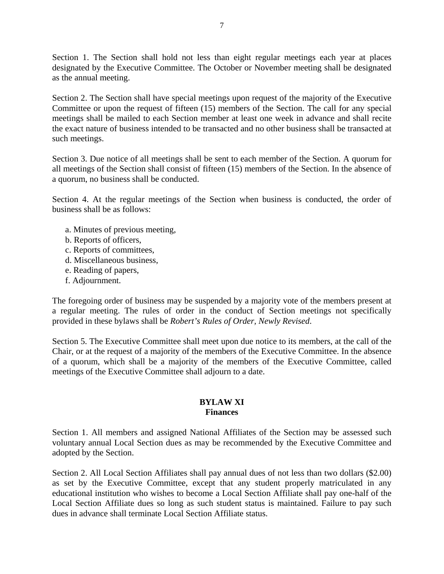Section 1. The Section shall hold not less than eight regular meetings each year at places designated by the Executive Committee. The October or November meeting shall be designated as the annual meeting.

Section 2. The Section shall have special meetings upon request of the majority of the Executive Committee or upon the request of fifteen (15) members of the Section. The call for any special meetings shall be mailed to each Section member at least one week in advance and shall recite the exact nature of business intended to be transacted and no other business shall be transacted at such meetings.

Section 3. Due notice of all meetings shall be sent to each member of the Section. A quorum for all meetings of the Section shall consist of fifteen (15) members of the Section. In the absence of a quorum, no business shall be conducted.

Section 4. At the regular meetings of the Section when business is conducted, the order of business shall be as follows:

- a. Minutes of previous meeting,
- b. Reports of officers,
- c. Reports of committees,
- d. Miscellaneous business,
- e. Reading of papers,
- f. Adjournment.

The foregoing order of business may be suspended by a majority vote of the members present at a regular meeting. The rules of order in the conduct of Section meetings not specifically provided in these bylaws shall be *Robert's Rules of Order, Newly Revised*.

Section 5. The Executive Committee shall meet upon due notice to its members, at the call of the Chair, or at the request of a majority of the members of the Executive Committee. In the absence of a quorum, which shall be a majority of the members of the Executive Committee, called meetings of the Executive Committee shall adjourn to a date.

### **BYLAW XI Finances**

Section 1. All members and assigned National Affiliates of the Section may be assessed such voluntary annual Local Section dues as may be recommended by the Executive Committee and adopted by the Section.

Section 2. All Local Section Affiliates shall pay annual dues of not less than two dollars (\$2.00) as set by the Executive Committee, except that any student properly matriculated in any educational institution who wishes to become a Local Section Affiliate shall pay one-half of the Local Section Affiliate dues so long as such student status is maintained. Failure to pay such dues in advance shall terminate Local Section Affiliate status.